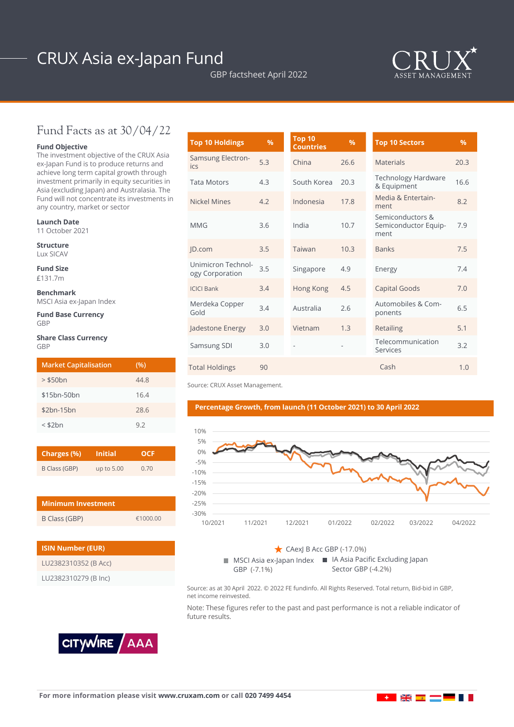# CRUX Asia ex-Japan Fund

GBP factsheet April 2022



### Fund Facts as at 30/04/22

#### **Fund Objective**

The investment objective of the CRUX Asia ex-Japan Fund is to produce returns and achieve long term capital growth through investment primarily in equity securities in Asia (excluding Japan) and Australasia. The Fund will not concentrate its investments in any country, market or sector

#### **Launch Date**

11 October 2021

**Structure** Lux SICAV

**Fund Size** £131.7m

**Benchmark**

MSCI Asia ex-Japan Index

**Fund Base Currency GRP** 

#### **Share Class Currency** GBP

| <b>Market Capitalisation</b> | (%)  |
|------------------------------|------|
| $>$ \$50 $bn$                | 44.8 |
| \$15bn-50bn                  | 16.4 |
| $$2bn-15bn$                  | 28.6 |
| $<$ \$2 $bn$                 | 92   |

| Charges (%)   | <b>Initial</b> | OCF  |  |  |
|---------------|----------------|------|--|--|
| B Class (GBP) | up to 5.00     | 0.70 |  |  |

| Minimum Investment |          |
|--------------------|----------|
| B Class (GBP)      | £1000.00 |

| <b>ISIN Number (EUR)</b> |
|--------------------------|
| LU2382310352 (B Acc)     |
| LU2382310279 (B Inc)     |

| <b>Top 10 Holdings</b>                | %   | <b>Top 10</b><br><b>Countries</b> | $\frac{9}{6}$ | <b>Top 10 Sectors</b>                            | $\%$ |
|---------------------------------------|-----|-----------------------------------|---------------|--------------------------------------------------|------|
| <b>Samsung Electron-</b><br>ics       | 5.3 | China                             | 26.6          | <b>Materials</b>                                 | 20.3 |
| <b>Tata Motors</b>                    | 4.3 | South Korea                       | 20.3          | Technology Hardware<br>& Equipment               | 16.6 |
| Nickel Mines                          | 4.2 | Indonesia                         | 17.8          | Media & Entertain-<br>ment                       | 8.2  |
| <b>MMG</b>                            | 3.6 | India                             | 10.7          | Semiconductors &<br>Semiconductor Equip-<br>ment | 7.9  |
| JD.com                                | 3.5 | Taiwan                            | 10.3          | <b>Banks</b>                                     | 7.5  |
| Unimicron Technol-<br>ogy Corporation | 3.5 | Singapore                         | 4.9           | Energy                                           | 7.4  |
| <b>ICICI Bank</b>                     | 3.4 | Hong Kong                         | 4.5           | <b>Capital Goods</b>                             | 7.0  |
| Merdeka Copper<br>Gold                | 3.4 | Australia                         | 2.6           | Automobiles & Com-<br>ponents                    | 6.5  |
| Jadestone Energy                      | 3.0 | Vietnam                           | 1.3           | Retailing                                        | 5.1  |
| Samsung SDI                           | 3.0 | $\overline{\phantom{m}}$          |               | Telecommunication<br>Services                    | 3.2  |
| <b>Total Holdings</b>                 | 90  |                                   |               | Cash                                             | 1.0  |

Source: CRUX Asset Management.

#### **Percentage Growth, from launch (11 October 2021) to 30 April 2022**



MSCI Asia ex-Japan Index ■ IA Asia Pacific Excluding Japan GBP (-7.1%) CAexJ B Acc GBP (-17.0%) Sector GBP (-4.2%)

Source: as at 30 April 2022. © 2022 FE fundinfo. All Rights Reserved. Total return, Bid-bid in GBP, net income reinvested.

Note: These figures refer to the past and past performance is not a reliable indicator of future results.